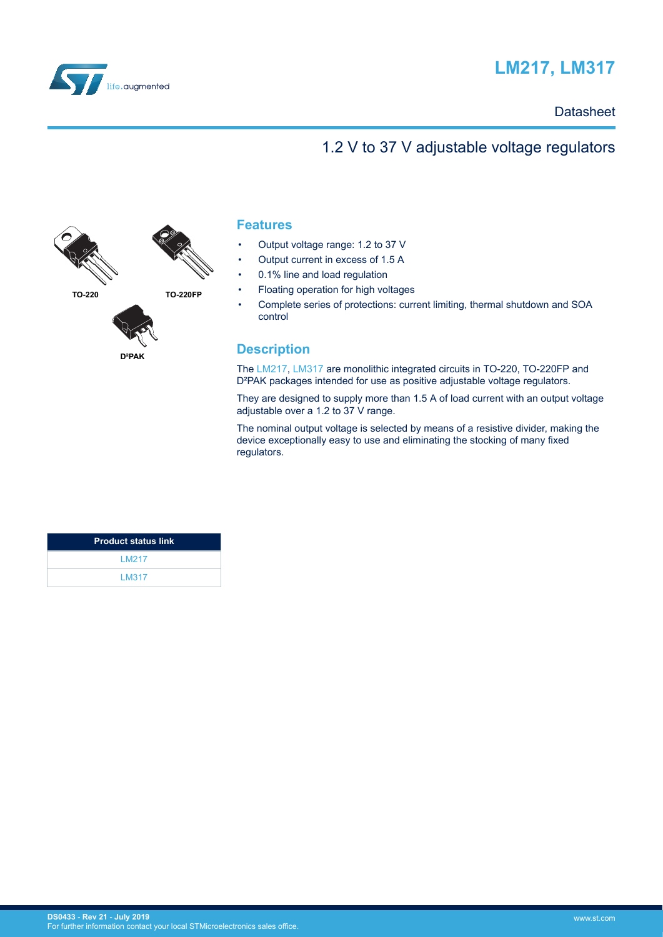

# **LM217, LM317**

## **Datasheet**

## 1.2 V to 37 V adjustable voltage regulators



## **Features**

- Output voltage range: 1.2 to 37 V
- Output current in excess of 1.5 A
- 0.1% line and load regulation
- Floating operation for high voltages
- Complete series of protections: current limiting, thermal shutdown and SOA control

### **Description**

The [LM217](http://www.st.com/en/product/lm217), [LM317](http://www.st.com/en/product/lm317) are monolithic integrated circuits in TO-220, TO-220FP and D<sup>2</sup>PAK packages intended for use as positive adjustable voltage regulators.

They are designed to supply more than 1.5 A of load current with an output voltage adjustable over a 1.2 to 37 V range.

The nominal output voltage is selected by means of a resistive divider, making the device exceptionally easy to use and eliminating the stocking of many fixed regulators.

| <b>Product status link</b> |
|----------------------------|
| <b>IM217</b>               |
| LM317                      |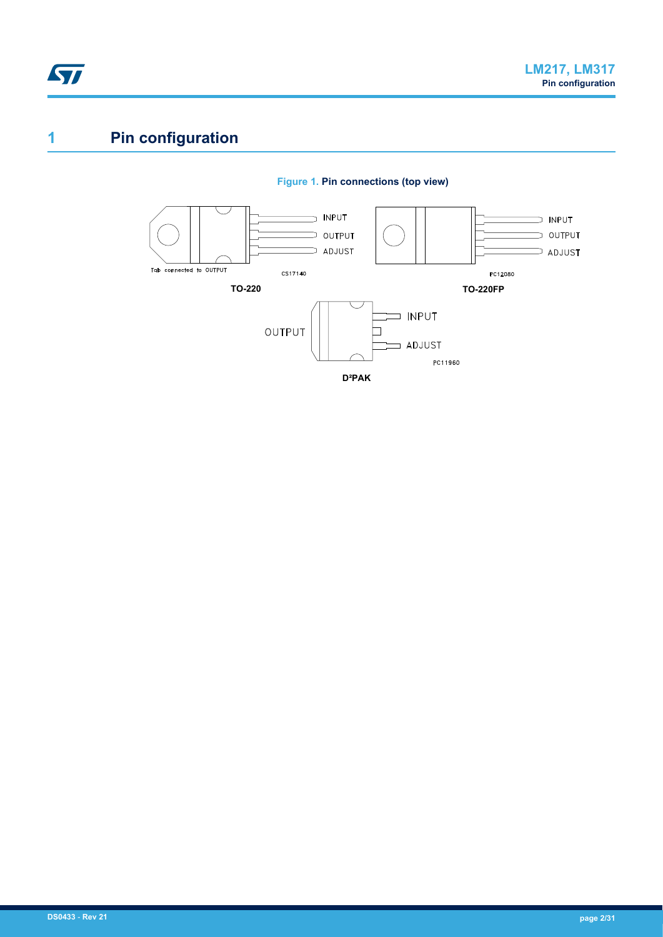<span id="page-1-0"></span>

# **1 Pin configuration**



#### **Figure 1. Pin connections (top view)**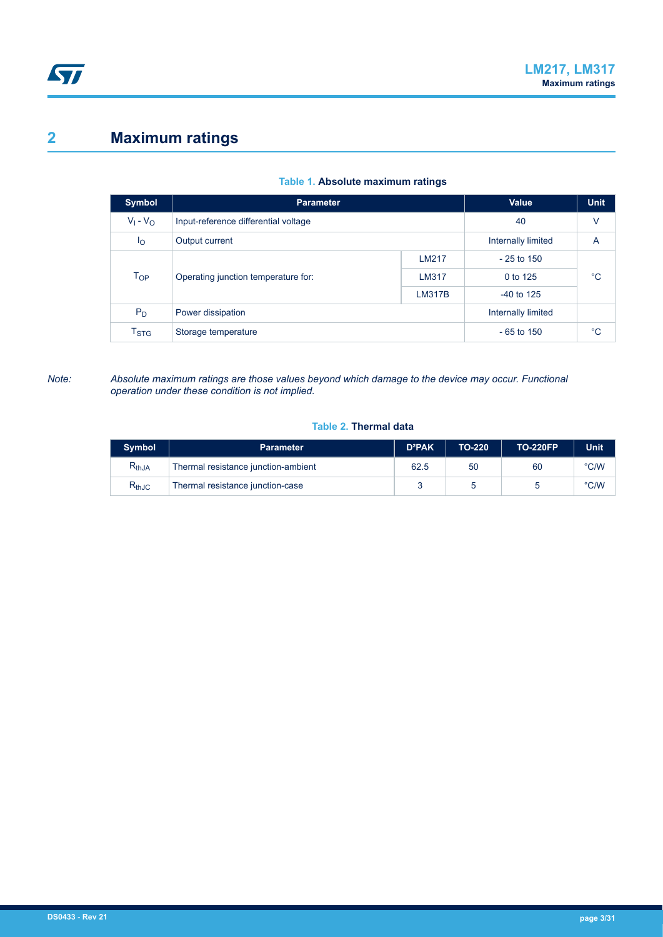# <span id="page-2-0"></span>**2 Maximum ratings**

| <b>Symbol</b>             | <b>Parameter</b>                             | Value              | <b>Unit</b>        |             |
|---------------------------|----------------------------------------------|--------------------|--------------------|-------------|
| $V_1 - V_0$               | Input-reference differential voltage         |                    | 40                 | V           |
| Ιo                        | Output current                               | Internally limited | A                  |             |
|                           |                                              | LM217              | $-25$ to 150       |             |
| $T_{OP}$                  | Operating junction temperature for:<br>LM317 |                    | 0 to 125           | $^{\circ}C$ |
|                           |                                              | <b>LM317B</b>      | $-40$ to 125       |             |
| $P_D$                     | Power dissipation                            |                    | Internally limited |             |
| $\mathsf{T}_{\text{STG}}$ | Storage temperature                          | $-65$ to 150       | $^{\circ}C$        |             |

#### **Table 1. Absolute maximum ratings**

*Note: Absolute maximum ratings are those values beyond which damage to the device may occur. Functional operation under these condition is not implied.*

#### **Table 2. Thermal data**

| <b>Symbol</b>                | <b>Parameter</b>                    | <b>D</b> <sup>2</sup> PAK | TO-220 | TO-220FP | <b>Unit</b>   |
|------------------------------|-------------------------------------|---------------------------|--------|----------|---------------|
| $\mathsf{R}_{\mathsf{thJA}}$ | Thermal resistance junction-ambient | 62.5                      | 50     | 60       | $\degree$ C/W |
| $R_{thJC}$                   | Thermal resistance junction-case    |                           |        |          | $\degree$ C/W |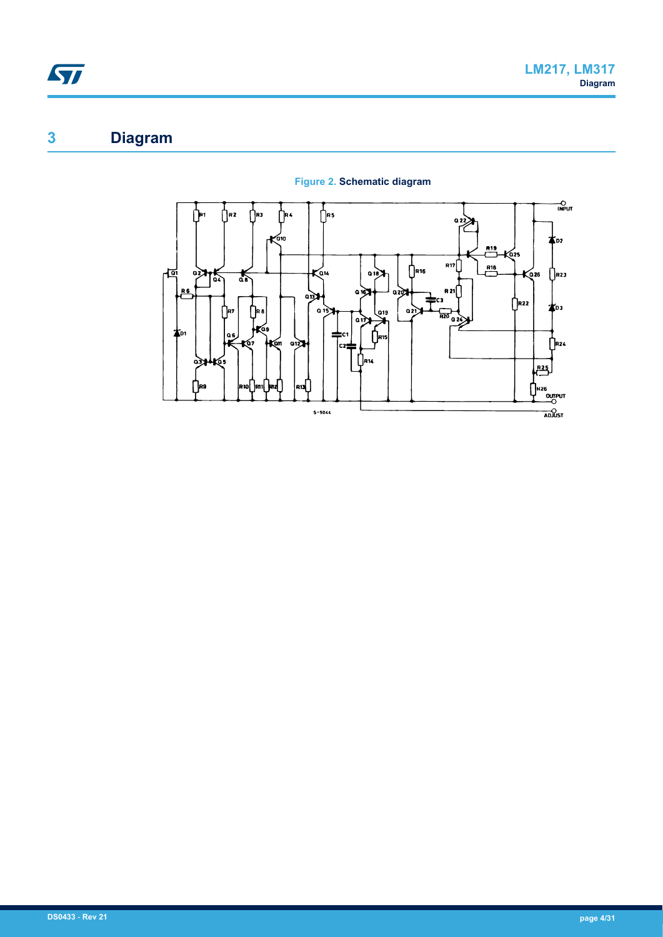# <span id="page-3-0"></span>**3 Diagram**



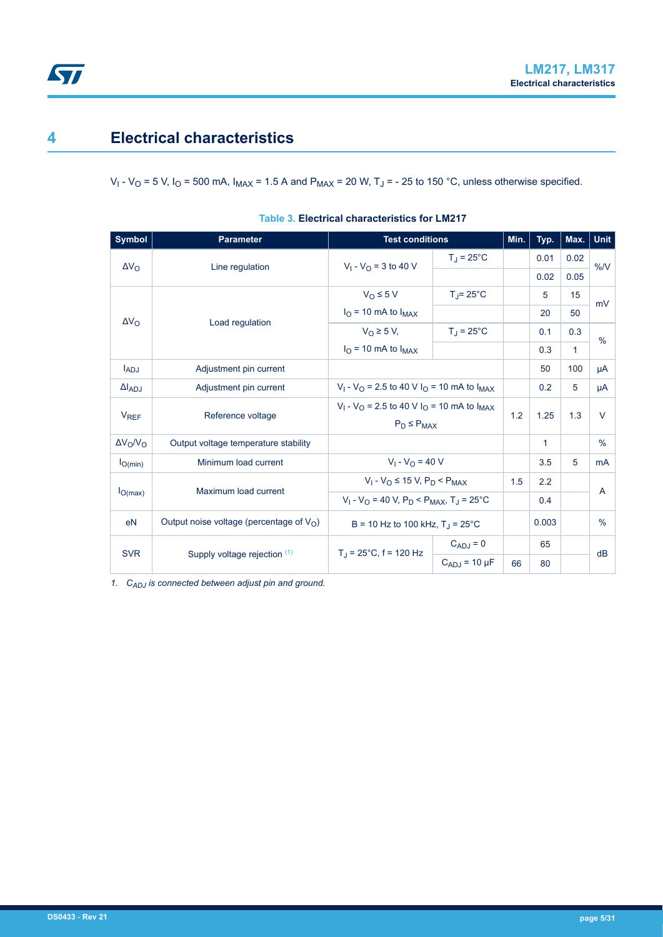## <span id="page-4-0"></span>**4 Electrical characteristics**

V<sub>I</sub> - V<sub>O</sub> = 5 V, I<sub>O</sub> = 500 mA, I<sub>MAX</sub> = 1.5 A and P<sub>MAX</sub> = 20 W, T<sub>J</sub> = - 25 to 150 °C, unless otherwise specified.

| <b>Symbol</b>          | <b>Parameter</b>                                   | <b>Test conditions</b>                                                                            |                     | Min. | Typ.  | Max. Unit    |               |
|------------------------|----------------------------------------------------|---------------------------------------------------------------------------------------------------|---------------------|------|-------|--------------|---------------|
| $\Delta V_{\Omega}$    | Line regulation                                    | $V_1 - V_O = 3$ to 40 V                                                                           | $T_J = 25^{\circ}C$ |      | 0.01  | 0.02         | $\%N$         |
|                        |                                                    |                                                                                                   |                     |      | 0.02  | 0.05         |               |
|                        |                                                    | $V_O \leq 5 V$                                                                                    | $T_{\rm J}$ = 25°C  |      | 5     | 15           | mV            |
| $\Delta V_{\Omega}$    | Load regulation                                    | $IO$ = 10 mA to $IMAX$                                                                            |                     |      | 20    | 50           |               |
|                        |                                                    | $V_{\text{O}} \geq 5$ V,                                                                          | $T_J = 25^{\circ}C$ |      | 0.1   | 0.3          | $\frac{0}{0}$ |
|                        |                                                    | $IO$ = 10 mA to $IMAX$                                                                            |                     |      | 0.3   | $\mathbf{1}$ |               |
| $I_{ADJ}$              | Adjustment pin current                             |                                                                                                   |                     |      | 50    | 100          | μA            |
| $\Delta I_{ADJ}$       | Adjustment pin current                             | $V_1 - V_0 = 2.5$ to 40 V I <sub>O</sub> = 10 mA to I <sub>MAX</sub>                              |                     |      | 0.2   | 5            | μA            |
| <b>V<sub>REF</sub></b> | Reference voltage                                  | $V_1 - V_{\Omega} = 2.5$ to 40 V I <sub>O</sub> = 10 mA to I <sub>MAX</sub><br>$P_D \leq P_{MAX}$ |                     | 1.2  | 1.25  | 1.3          | V             |
| $\Delta V_O/V_O$       | Output voltage temperature stability               |                                                                                                   |                     |      | 1     |              | $\frac{0}{0}$ |
| $I_{O(min)}$           | Minimum load current                               | $V_1 - V_0 = 40 V$                                                                                |                     |      | 3.5   | 5            | mA            |
|                        |                                                    | $V_1 - V_0 \le 15 V$ , $P_D < P_{MAX}$                                                            |                     | 1.5  | 2.2   |              |               |
| $I_{O(max)}$           | Maximum load current                               | $V_1 - V_0 = 40 V$ , $P_D < P_{MAX}$ , $T_1 = 25^{\circ}$ C                                       |                     |      | 0.4   |              | A             |
| e <sub>N</sub>         | Output noise voltage (percentage of $V_{\Omega}$ ) | $B = 10$ Hz to 100 kHz, $T_1 = 25^{\circ}$ C                                                      |                     |      | 0.003 |              | $\frac{0}{0}$ |
|                        |                                                    | $T_1$ = 25°C, f = 120 Hz                                                                          | $C_{ADJ} = 0$       |      | 65    |              | dB            |
| <b>SVR</b>             | Supply voltage rejection $(1)$                     |                                                                                                   | $C_{ADJ}$ = 10 µF   | 66   | 80    |              |               |

|  |  | Table 3. Electrical characteristics for LM217 |  |  |
|--|--|-----------------------------------------------|--|--|
|--|--|-----------------------------------------------|--|--|

*1. CADJ is connected between adjust pin and ground.*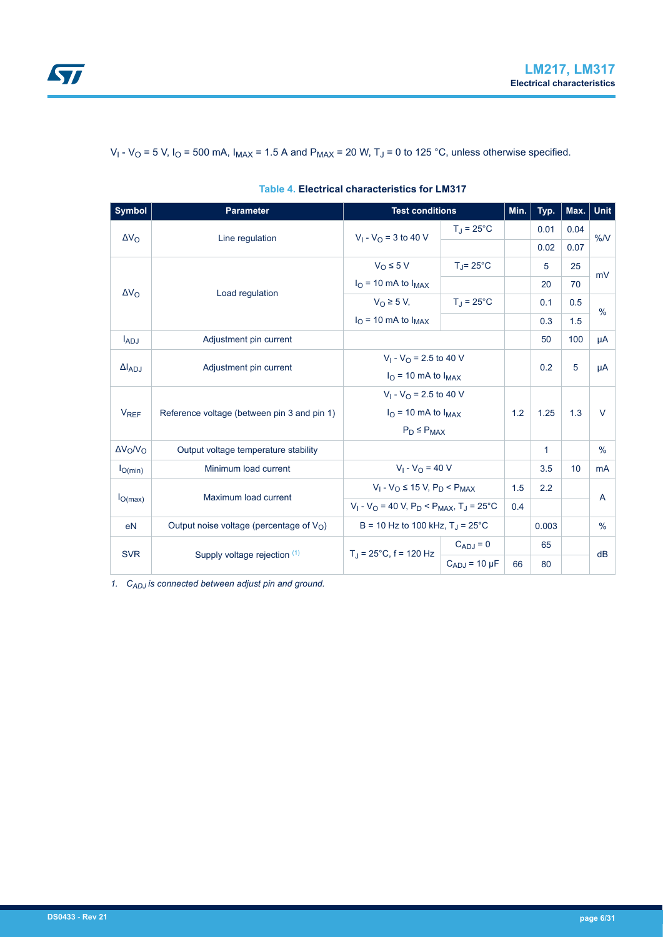| <b>Symbol</b>          | <b>Parameter</b>                            |                                                     | <b>Test conditions</b> |     | Typ.         | Max. $ $ | Unit          |
|------------------------|---------------------------------------------|-----------------------------------------------------|------------------------|-----|--------------|----------|---------------|
| $\Delta V_{\rm O}$     | Line regulation                             | $V_1 - V_{\Omega} = 3$ to 40 V                      | $T_J = 25^{\circ}C$    |     | 0.01         | 0.04     | %N            |
|                        |                                             |                                                     |                        |     | 0.02         | 0.07     |               |
|                        |                                             | $V_O \leq 5 V$                                      | $T_{\rm J}$ = 25°C     |     | 5            | 25       | mV            |
| $\Delta V_{\rm O}$     | Load regulation                             | $IO$ = 10 mA to $IMAX$                              |                        |     | 20           | 70       |               |
|                        |                                             | $V_O \geq 5 V$ ,                                    | $T_J = 25^{\circ}C$    |     | 0.1          | 0.5      | $\frac{0}{0}$ |
|                        |                                             | $IO$ = 10 mA to $IMAX$                              |                        |     | 0.3          | 1.5      |               |
| $I_{ADJ}$              | Adjustment pin current                      |                                                     |                        |     | 50           | 100      | μA            |
| $\Delta I_{ADJ}$       |                                             | $V_1 - V_{\Omega} = 2.5$ to 40 V                    |                        |     | 0.2          | 5        |               |
|                        | Adjustment pin current                      | $IO$ = 10 mA to $IMAX$                              |                        |     |              |          | μA            |
|                        |                                             | $V_1 - V_O = 2.5$ to 40 V                           |                        |     |              |          |               |
| <b>V<sub>REF</sub></b> | Reference voltage (between pin 3 and pin 1) | $IO$ = 10 mA to $IMAX$                              |                        | 1.2 | 1.25         | 1.3      | $\vee$        |
|                        |                                             | $P_D \leq P_{MAX}$                                  |                        |     |              |          |               |
| $\Delta V_O/V_O$       | Output voltage temperature stability        |                                                     |                        |     | $\mathbf{1}$ |          | $\frac{0}{0}$ |
| $I_{O(min)}$           | Minimum load current                        | $V_1 - V_0 = 40 V$                                  |                        |     | 3.5          | 10       | <b>mA</b>     |
|                        | $V_1 - V_O \le 15 V$ , $P_D < P_{MAX}$      |                                                     | 1.5                    | 2.2 |              |          |               |
| $I_{O(max)}$           | Maximum load current                        | $V_1 - V_O = 40$ V, $P_D < P_{MAX}$ , $T_J = 25$ °C |                        | 0.4 |              |          | A             |
| e <sub>N</sub>         | Output noise voltage (percentage of $V_O$ ) | B = 10 Hz to 100 kHz, $T_{\rm J}$ = 25°C            |                        |     | 0.003        |          | $\frac{0}{0}$ |
|                        |                                             |                                                     | $C_{ADJ} = 0$          |     | 65           |          |               |
| <b>SVR</b>             | Supply voltage rejection (1)                | $T_1 = 25^{\circ}$ C, f = 120 Hz                    | $C_{ADJ}$ = 10 µF      | 66  | 80           |          | dB            |

#### <span id="page-5-0"></span>V<sub>I</sub> - V<sub>O</sub> = 5 V, I<sub>O</sub> = 500 mA, I<sub>MAX</sub> = 1.5 A and P<sub>MAX</sub> = 20 W, T<sub>J</sub> = 0 to 125 °C, unless otherwise specified.

**Table 4. Electrical characteristics for LM317**

*1. CADJ is connected between adjust pin and ground.*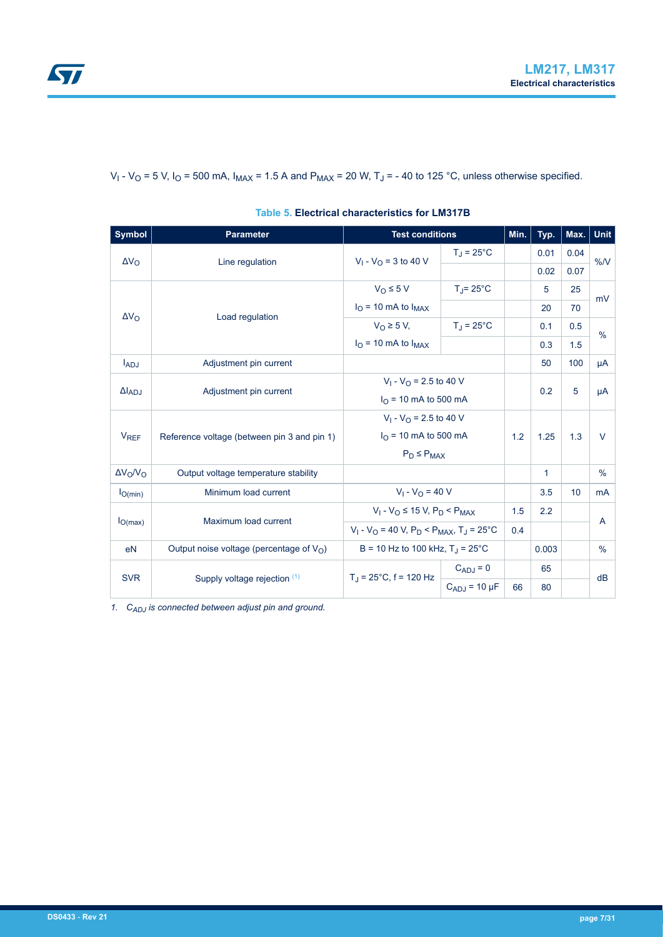<span id="page-6-0"></span>V<sub>I</sub> - V<sub>O</sub> = 5 V, I<sub>O</sub> = 500 mA, I<sub>MAX</sub> = 1.5 A and P<sub>MAX</sub> = 20 W, T<sub>J</sub> = - 40 to 125 °C, unless otherwise specified.

| <b>Symbol</b>          | <b>Parameter</b>                                                | <b>Test conditions</b>                                     |                     | Min. | Typ.         | Max. $ $ | Unit           |
|------------------------|-----------------------------------------------------------------|------------------------------------------------------------|---------------------|------|--------------|----------|----------------|
| $\Delta V_{\Omega}$    | Line regulation                                                 | $V_1 - V_0 = 3$ to 40 V                                    | $T_J = 25^{\circ}C$ |      | 0.01         | 0.04     | %N             |
|                        |                                                                 |                                                            |                     |      | 0.02         | 0.07     |                |
|                        |                                                                 | $V_{\Omega} \leq 5 V$                                      | $T = 25^{\circ}$ C  |      | 5            | 25       | mV             |
| $\Delta V_{\Omega}$    | Load regulation                                                 | $IO$ = 10 mA to $IMAX$                                     |                     |      | 20           | 70       |                |
|                        |                                                                 | $V_0 \geq 5 V$                                             | $T_{\rm J}$ = 25°C  |      | 0.1          | 0.5      | $\frac{0}{0}$  |
|                        |                                                                 | $IO$ = 10 mA to $IMAX$                                     |                     |      | 0.3          | 1.5      |                |
| $I_{ADJ}$              | Adjustment pin current                                          |                                                            |                     |      | 50           | 100      | μA             |
|                        |                                                                 | $V_1 - V_{\Omega} = 2.5$ to 40 V                           |                     |      | 0.2          |          |                |
| $\Delta I_{AD,I}$      | Adjustment pin current                                          | $I_{\Omega}$ = 10 mA to 500 mA                             |                     |      |              | 5        | μA             |
|                        |                                                                 | $V_1 - V_{\Omega} = 2.5$ to 40 V                           |                     |      |              |          |                |
| <b>V<sub>REF</sub></b> | Reference voltage (between pin 3 and pin 1)                     | $I_{\text{O}}$ = 10 mA to 500 mA                           |                     | 1.2  |              | 1.3      | $\vee$         |
|                        |                                                                 | $P_D \leq P_{MAX}$                                         |                     |      |              |          |                |
| $\Delta V_O/V_O$       | Output voltage temperature stability                            |                                                            |                     |      | $\mathbf{1}$ |          | %              |
| $I_{O(min)}$           | Minimum load current                                            | $V_1 - V_0 = 40 V$                                         |                     |      | 3.5          | 10       | <sub>m</sub> A |
|                        |                                                                 | $V_1 - V_O \le 15 V$ , $P_D < P_{MAX}$                     |                     | 1.5  | 2.2          |          |                |
| $I_{O(max)}$           | Maximum load current                                            | $V_1 - V_O = 40 V$ , $P_D < P_{MAX}$ , $T_J = 25^{\circ}C$ |                     | 0.4  |              |          | A              |
| e <sub>N</sub>         | Output noise voltage (percentage of $V_{\Omega}$ )              | B = 10 Hz to 100 kHz, $T_{\rm J}$ = 25°C                   |                     |      | 0.003        |          | $\frac{0}{0}$  |
|                        | $T_J = 25^{\circ}C, f = 120$ Hz<br>Supply voltage rejection (1) |                                                            | $C_{ADJ} = 0$       |      | 65           |          |                |
| <b>SVR</b>             |                                                                 |                                                            | $C_{ADJ}$ = 10 µF   | 66   | 80           |          | dB             |

*1. CADJ is connected between adjust pin and ground.*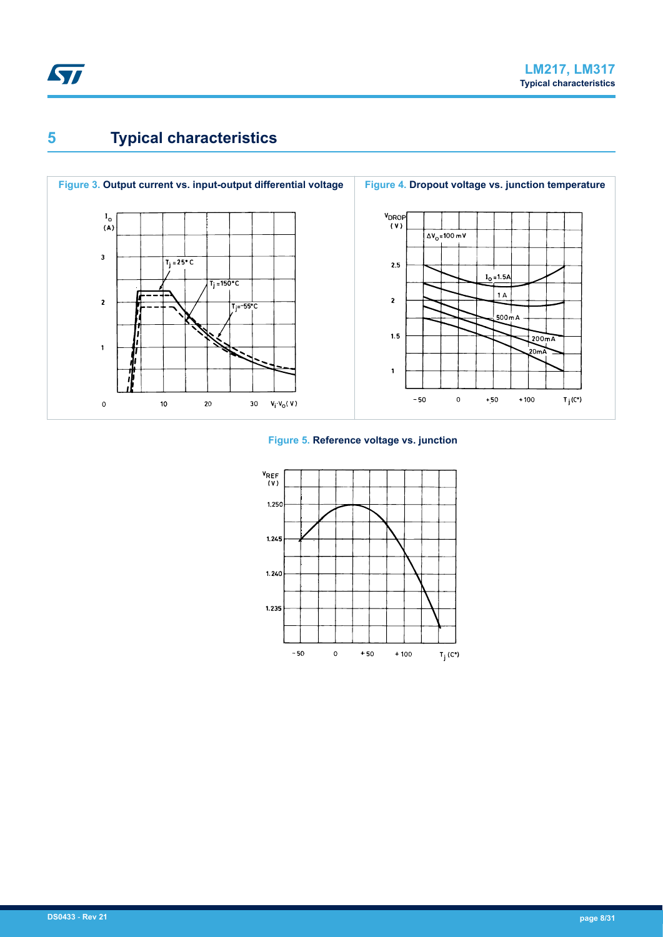<span id="page-7-0"></span>

# **5 Typical characteristics**



#### **Figure 5. Reference voltage vs. junction**

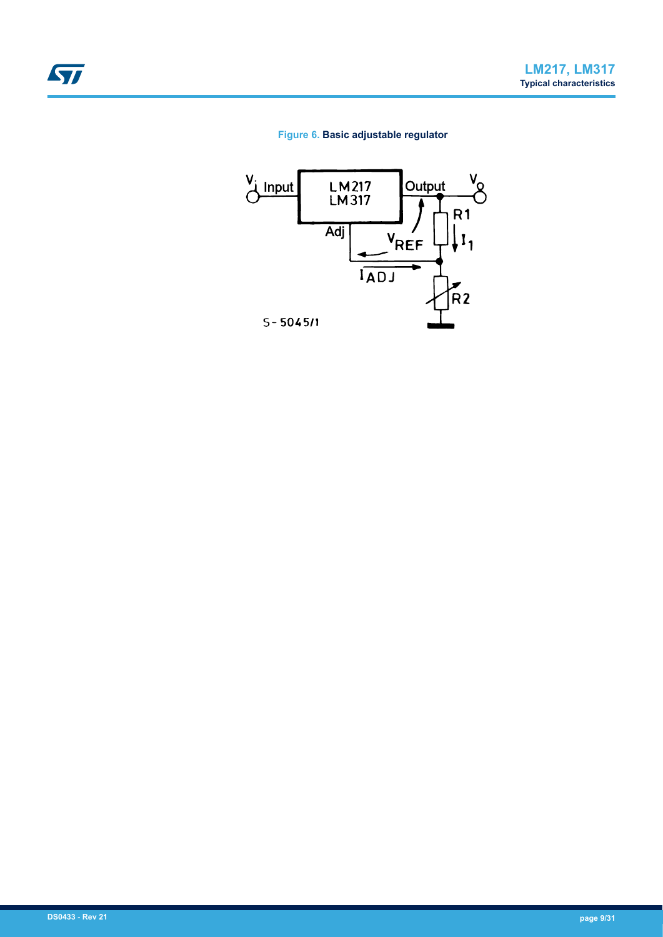### **Figure 6. Basic adjustable regulator**

<span id="page-8-0"></span>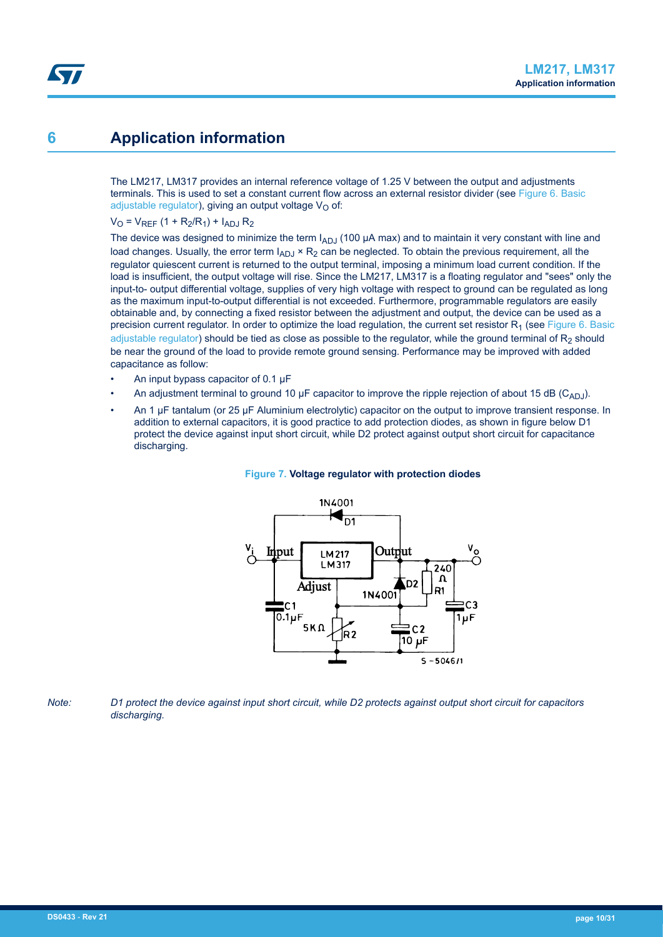## <span id="page-9-0"></span>**6 Application information**

The LM217, LM317 provides an internal reference voltage of 1.25 V between the output and adjustments terminals. This is used to set a constant current flow across an external resistor divider (see [Figure 6. Basic](#page-8-0) [adjustable regulator](#page-8-0)), giving an output voltage  $V_{\Omega}$  of:

 $V_{\Omega}$  =  $V_{RFE}$  (1 + R<sub>2</sub>/R<sub>1</sub>) + I<sub>ADJ</sub> R<sub>2</sub>

The device was designed to minimize the term  $I_{ADJ}$  (100  $\mu$ A max) and to maintain it very constant with line and load changes. Usually, the error term  $I_{ADJ} \times R_2$  can be neglected. To obtain the previous requirement, all the regulator quiescent current is returned to the output terminal, imposing a minimum load current condition. If the load is insufficient, the output voltage will rise. Since the LM217, LM317 is a floating regulator and "sees" only the input-to- output differential voltage, supplies of very high voltage with respect to ground can be regulated as long as the maximum input-to-output differential is not exceeded. Furthermore, programmable regulators are easily obtainable and, by connecting a fixed resistor between the adjustment and output, the device can be used as a precision current regulator. In order to optimize the load regulation, the current set resistor  $R_1$  (see [Figure 6. Basic](#page-8-0) [adjustable regulator](#page-8-0)) should be tied as close as possible to the regulator, while the ground terminal of  $R_2$  should be near the ground of the load to provide remote ground sensing. Performance may be improved with added capacitance as follow:

- An input bypass capacitor of 0.1 µF
- An adjustment terminal to ground 10  $\mu$ F capacitor to improve the ripple rejection of about 15 dB (C<sub>ADJ</sub>).
- An 1 µF tantalum (or 25 µF Aluminium electrolytic) capacitor on the output to improve transient response. In addition to external capacitors, it is good practice to add protection diodes, as shown in figure below D1 protect the device against input short circuit, while D2 protect against output short circuit for capacitance discharging.



#### **Figure 7. Voltage regulator with protection diodes**

*Note: D1 protect the device against input short circuit, while D2 protects against output short circuit for capacitors discharging.*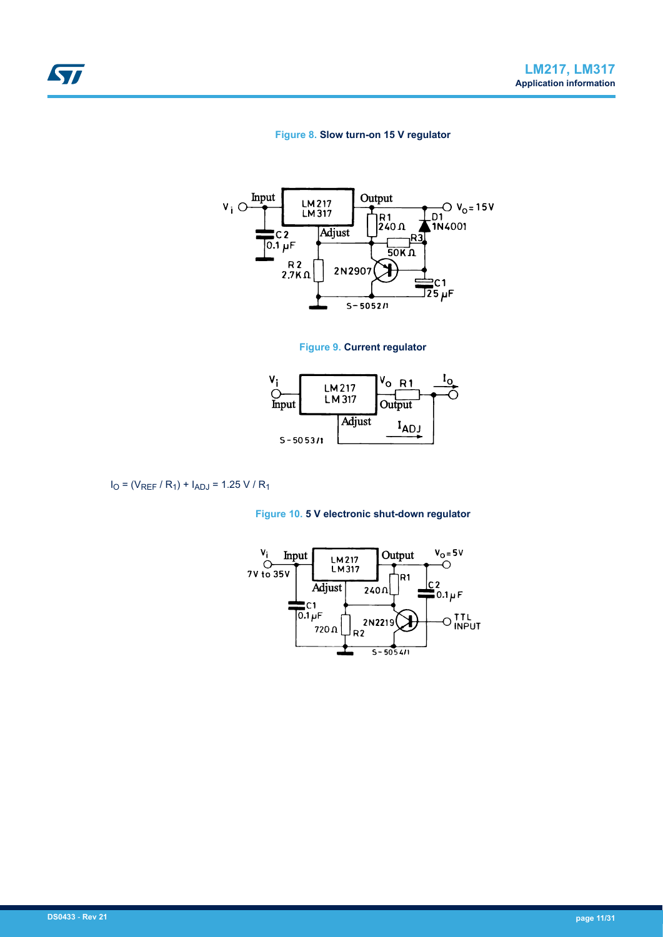#### **Figure 8. Slow turn-on 15 V regulator**

<span id="page-10-0"></span>

#### **Figure 9. Current regulator**



$$
I_O = (V_{REF} / R_1) + I_{ADJ} = 1.25 V / R_1
$$



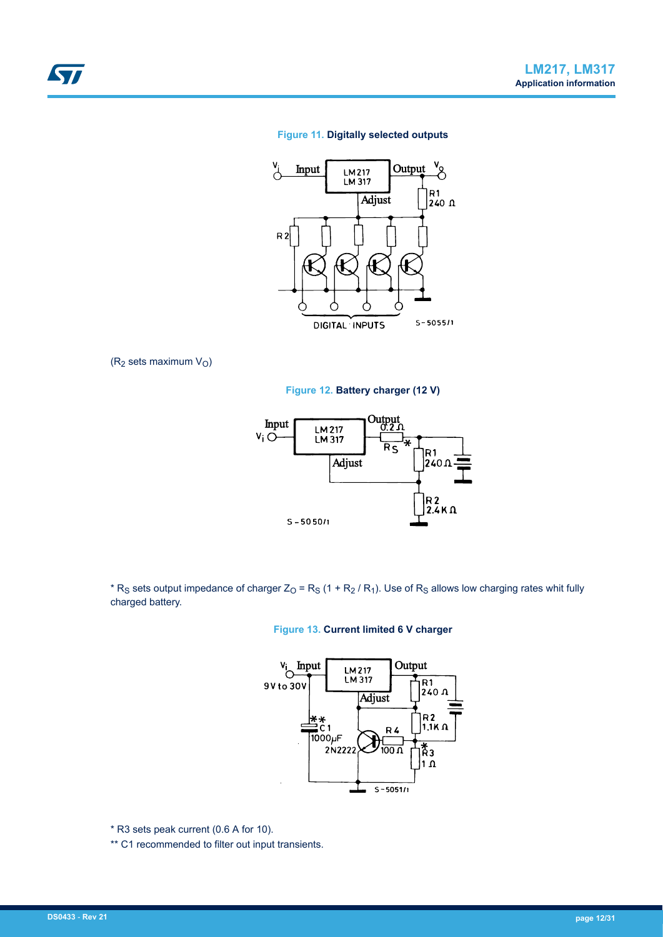#### **Figure 11. Digitally selected outputs**



( $R_2$  sets maximum  $V_0$ )

<span id="page-11-0"></span>**STI** 

**Figure 12. Battery charger (12 V)**



\* R<sub>S</sub> sets output impedance of charger Z<sub>O</sub> = R<sub>S</sub> (1 + R<sub>2</sub> / R<sub>1</sub>). Use of R<sub>S</sub> allows low charging rates whit fully charged battery.





\* R3 sets peak current (0.6 A for 10).

\*\* C1 recommended to filter out input transients.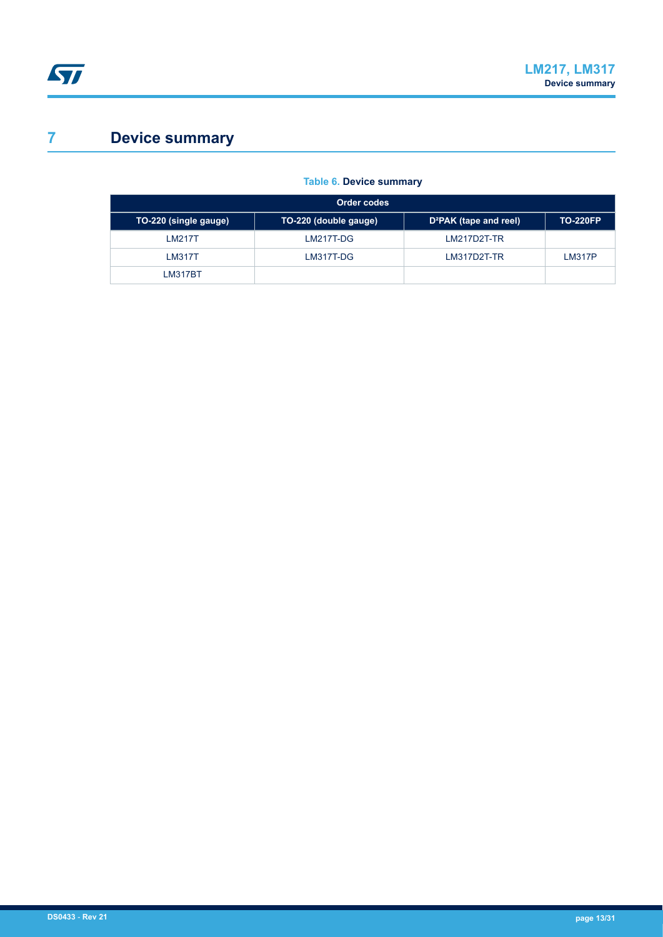# <span id="page-12-0"></span>**7 Device summary**

### **Table 6. Device summary**

| Order codes           |                       |                                    |                 |  |  |
|-----------------------|-----------------------|------------------------------------|-----------------|--|--|
| TO-220 (single gauge) | TO-220 (double gauge) | D <sup>2</sup> PAK (tape and reel) | <b>TO-220FP</b> |  |  |
| LM217T                | LM217T-DG             | $LM217D2T-TR$                      |                 |  |  |
| <b>LM317T</b>         | LM317T-DG             | LM317D2T-TR                        | <b>LM317P</b>   |  |  |
| <b>LM317BT</b>        |                       |                                    |                 |  |  |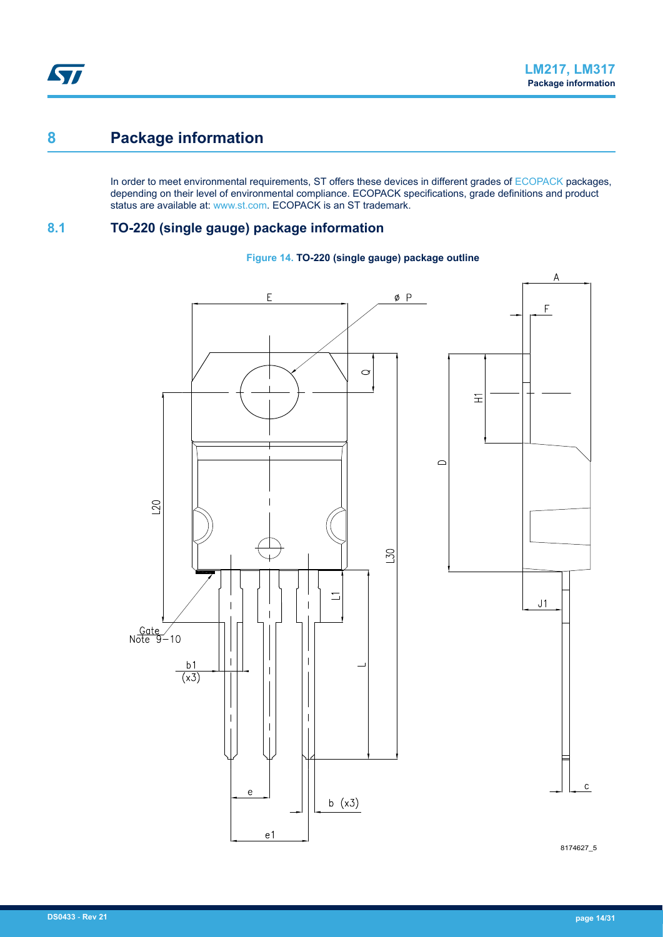## <span id="page-13-0"></span>**8 Package information**

In order to meet environmental requirements, ST offers these devices in different grades of [ECOPACK](https://www.st.com/ecopack) packages, depending on their level of environmental compliance. ECOPACK specifications, grade definitions and product status are available at: [www.st.com.](http://www.st.com) ECOPACK is an ST trademark.

## **8.1 TO-220 (single gauge) package information**





8174627\_5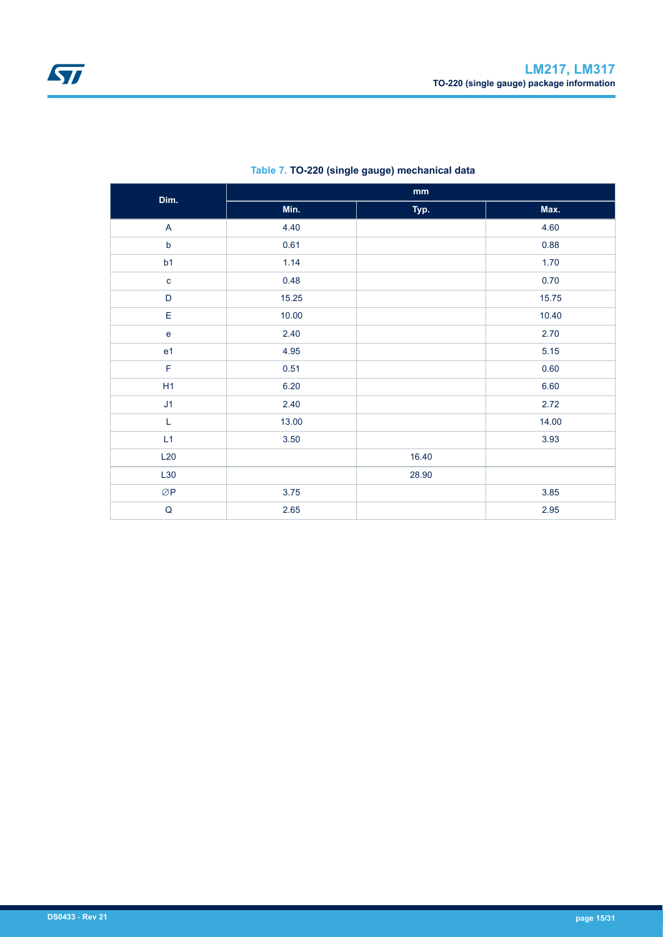<span id="page-14-0"></span>

| Dim.                              | $\mathop{\mathrm{mm}}\nolimits$ |       |       |  |  |
|-----------------------------------|---------------------------------|-------|-------|--|--|
|                                   | Min.                            | Typ.  | Max.  |  |  |
| $\boldsymbol{\mathsf{A}}$         | 4.40                            |       | 4.60  |  |  |
| $\mathsf b$                       | 0.61                            |       | 0.88  |  |  |
| b1                                | 1.14                            |       | 1.70  |  |  |
| $\mathbf{c}$                      | 0.48                            |       | 0.70  |  |  |
| $\mathsf D$                       | 15.25                           |       | 15.75 |  |  |
| E                                 | 10.00                           |       | 10.40 |  |  |
| $\mathsf{e}% _{t}\left( t\right)$ | 2.40                            |       | 2.70  |  |  |
| e <sub>1</sub>                    | 4.95                            |       | 5.15  |  |  |
| $\mathsf F$                       | 0.51                            |       | 0.60  |  |  |
| H1                                | 6.20                            |       | 6.60  |  |  |
| J1                                | 2.40                            |       | 2.72  |  |  |
| L                                 | 13.00                           |       | 14.00 |  |  |
| L1                                | 3.50                            |       | 3.93  |  |  |
| L20                               |                                 | 16.40 |       |  |  |
| L30                               |                                 | 28.90 |       |  |  |
| $\oslash$ P                       | 3.75                            |       | 3.85  |  |  |
| $\mathsf Q$                       | 2.65                            |       | 2.95  |  |  |

### **Table 7. TO-220 (single gauge) mechanical data**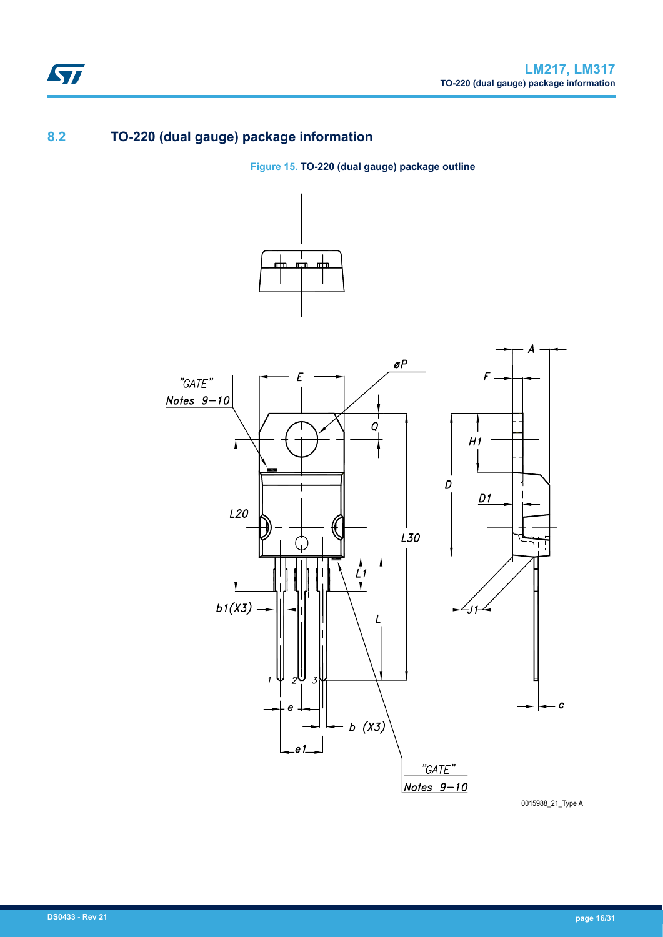## **8.2 TO-220 (dual gauge) package information**

<span id="page-15-0"></span>ST

**Figure 15. TO-220 (dual gauge) package outline**



0015988\_21\_Type A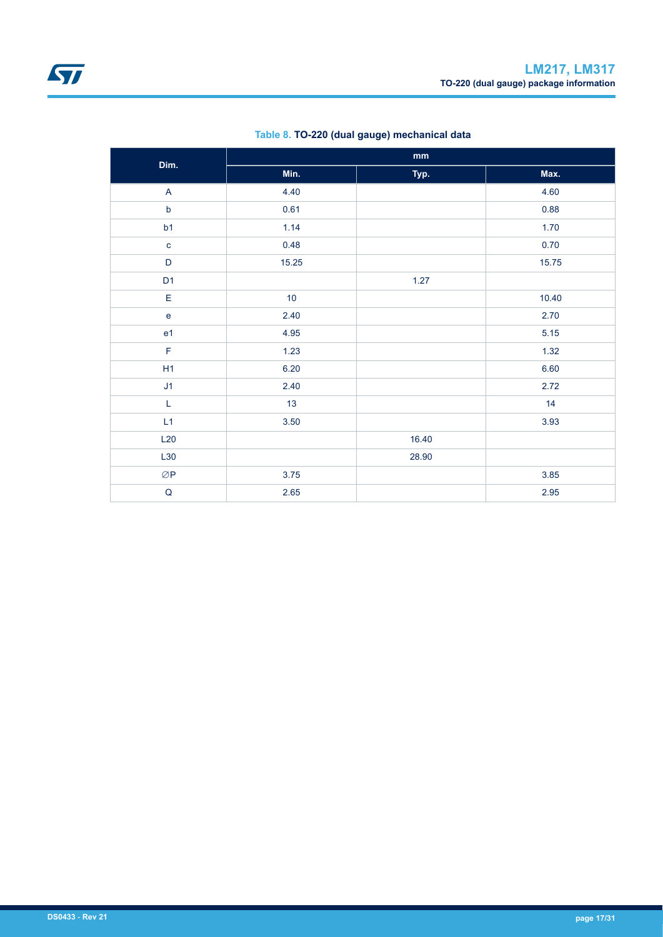<span id="page-16-0"></span>

| Dim.                    |       | $\mathop{\mathrm{mm}}\nolimits$ |       |
|-------------------------|-------|---------------------------------|-------|
|                         | Min.  | Typ.                            | Max.  |
| $\overline{\mathsf{A}}$ | 4.40  |                                 | 4.60  |
| $\mathsf b$             | 0.61  |                                 | 0.88  |
| b1                      | 1.14  |                                 | 1.70  |
| $\mathbf{c}$            | 0.48  |                                 | 0.70  |
| D                       | 15.25 |                                 | 15.75 |
| D <sub>1</sub>          |       | 1.27                            |       |
| $\mathsf E$             | 10    |                                 | 10.40 |
| $\mathbf{e}$            | 2.40  |                                 | 2.70  |
| e <sub>1</sub>          | 4.95  |                                 | 5.15  |
| F                       | 1.23  |                                 | 1.32  |
| H1                      | 6.20  |                                 | 6.60  |
| J1                      | 2.40  |                                 | 2.72  |
| $\mathsf L$             | 13    |                                 | 14    |
| L1                      | 3.50  |                                 | 3.93  |
| L20                     |       | 16.40                           |       |
| L30                     |       | 28.90                           |       |
| $\oslash$ P             | 3.75  |                                 | 3.85  |
| $\sf Q$                 | 2.65  |                                 | 2.95  |

### **Table 8. TO-220 (dual gauge) mechanical data**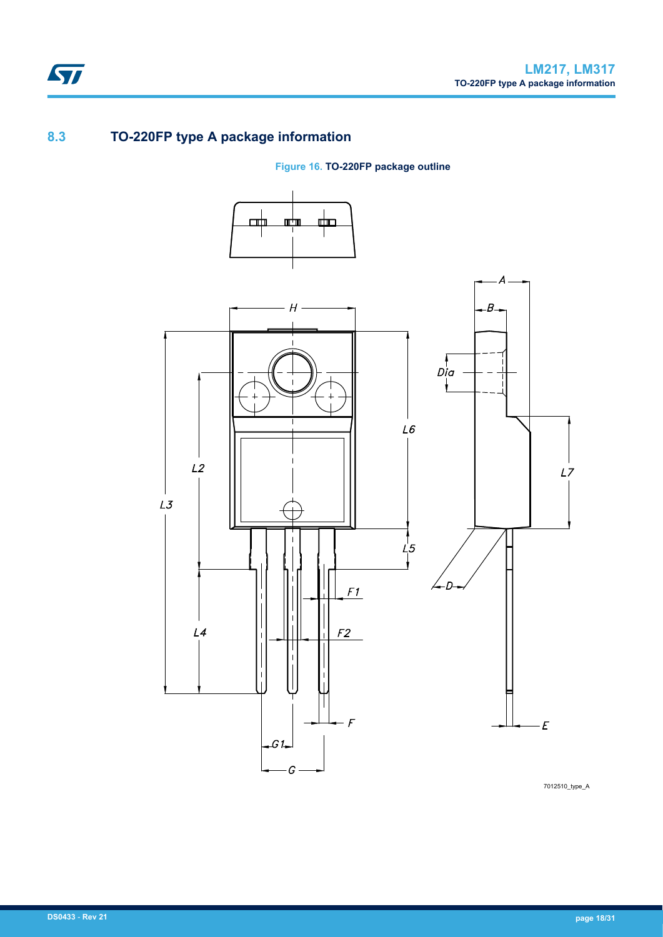## **8.3 TO-220FP type A package information**

<span id="page-17-0"></span>ST

**Figure 16. TO-220FP package outline**



7012510\_type\_A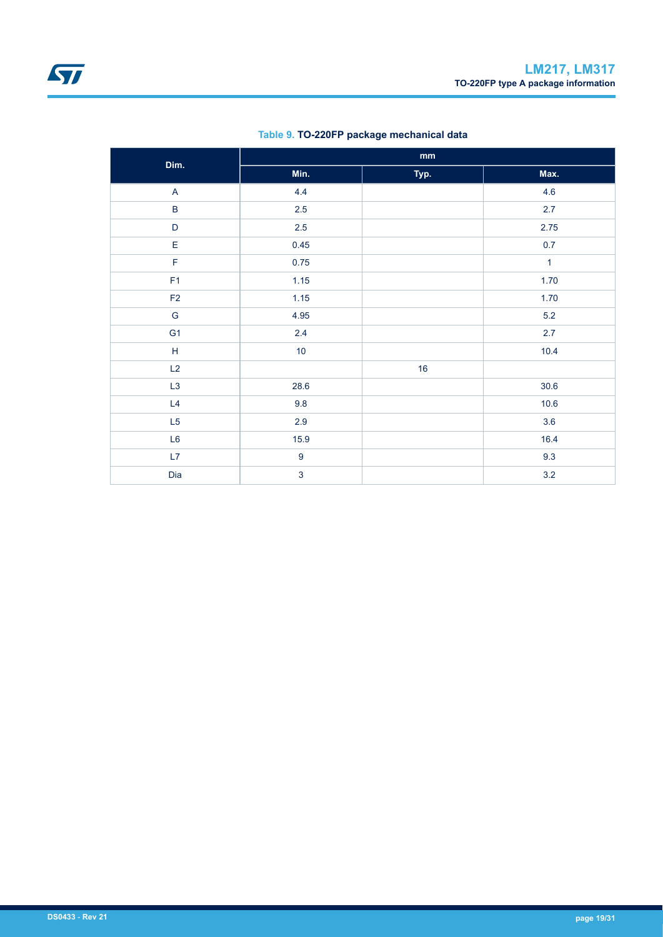<span id="page-18-0"></span>

| Dim.           | $\mathop{\mathsf{mm}}\nolimits$ |      |              |  |  |
|----------------|---------------------------------|------|--------------|--|--|
|                | Min.                            | Typ. | Max.         |  |  |
| $\mathsf A$    | 4.4                             |      | 4.6          |  |  |
| $\sf B$        | $2.5\,$                         |      | 2.7          |  |  |
| D              | $2.5\,$                         |      | 2.75         |  |  |
| E              | 0.45                            |      | 0.7          |  |  |
| $\mathsf F$    | 0.75                            |      | $\mathbf{1}$ |  |  |
| F <sub>1</sub> | 1.15                            |      | 1.70         |  |  |
| $\mathsf{F2}$  | 1.15                            |      | 1.70         |  |  |
| ${\mathsf G}$  | 4.95                            |      | $5.2\,$      |  |  |
| G <sub>1</sub> | 2.4                             |      | 2.7          |  |  |
| $\mathsf H$    | 10                              |      | 10.4         |  |  |
| L2             |                                 | 16   |              |  |  |
| L3             | 28.6                            |      | 30.6         |  |  |
| L4             | $9.8\,$                         |      | 10.6         |  |  |
| L5             | 2.9                             |      | 3.6          |  |  |
| L6             | 15.9                            |      | 16.4         |  |  |
| L7             | $\boldsymbol{9}$                |      | 9.3          |  |  |
| Dia            | $\overline{3}$                  |      | 3.2          |  |  |

### **Table 9. TO-220FP package mechanical data**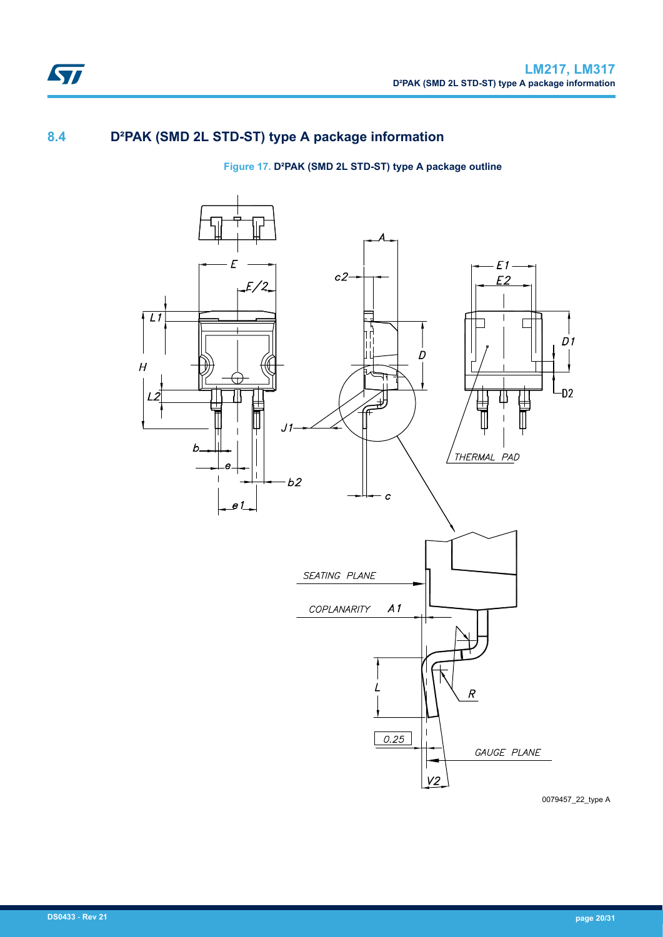## **8.4 D²PAK (SMD 2L STD-ST) type A package information**

### **Figure 17. D²PAK (SMD 2L STD-ST) type A package outline**



0079457\_22\_type A

<span id="page-19-0"></span> $\sqrt{2}$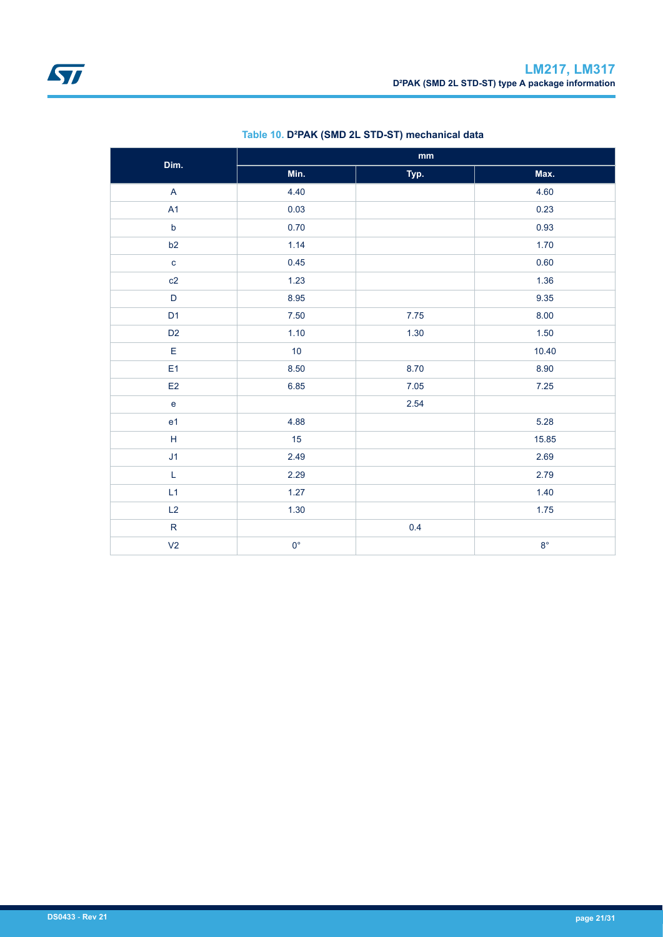<span id="page-20-0"></span>

| Dim.                                       | $\mathop{\text{mm}}\nolimits$ |        |             |  |
|--------------------------------------------|-------------------------------|--------|-------------|--|
|                                            | Min.                          | Typ.   | Max.        |  |
| $\overline{\mathsf{A}}$                    | 4.40                          |        | 4.60        |  |
| A1                                         | 0.03                          |        | 0.23        |  |
| $\mathsf b$                                | 0.70                          |        | 0.93        |  |
| b2                                         | 1.14                          |        | 1.70        |  |
| $\mathbf{c}$                               | 0.45                          |        | 0.60        |  |
| c2                                         | 1.23                          |        | 1.36        |  |
| $\mathsf D$                                | 8.95                          |        | 9.35        |  |
| D <sub>1</sub>                             | $7.50\,$                      | $7.75$ | 8.00        |  |
| D <sub>2</sub>                             | 1.10                          | 1.30   | 1.50        |  |
| $\mathsf E$                                | 10                            |        | 10.40       |  |
| E <sub>1</sub>                             | 8.50                          | 8.70   | 8.90        |  |
| E2                                         | 6.85                          | 7.05   | $7.25$      |  |
| $\mathsf{e}% _{0}\left( \mathsf{e}\right)$ |                               | 2.54   |             |  |
| e <sub>1</sub>                             | 4.88                          |        | 5.28        |  |
| $\overline{\mathsf{H}}$                    | 15                            |        | 15.85       |  |
| J1                                         | 2.49                          |        | 2.69        |  |
| $\mathsf L$                                | 2.29                          |        | 2.79        |  |
| L1                                         | 1.27                          |        | 1.40        |  |
| L2                                         | 1.30                          |        | 1.75        |  |
| $\mathsf R$                                |                               | 0.4    |             |  |
| V <sub>2</sub>                             | $0^{\circ}$                   |        | $8^{\circ}$ |  |

### **Table 10. D²PAK (SMD 2L STD-ST) mechanical data**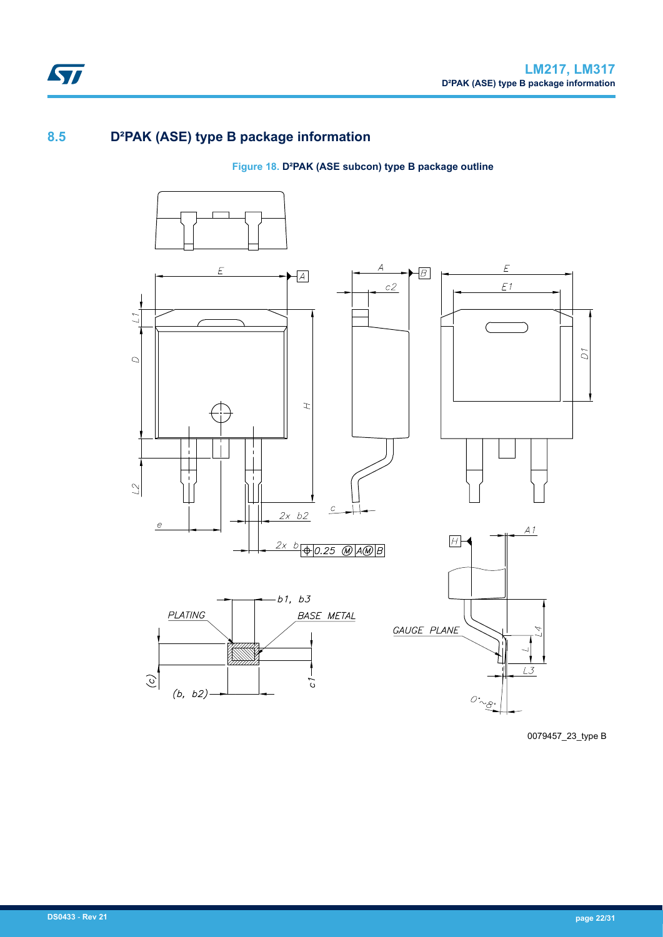## <span id="page-21-0"></span>**8.5 D²PAK (ASE) type B package information**

### **Figure 18. D²PAK (ASE subcon) type B package outline**



0079457\_23\_type B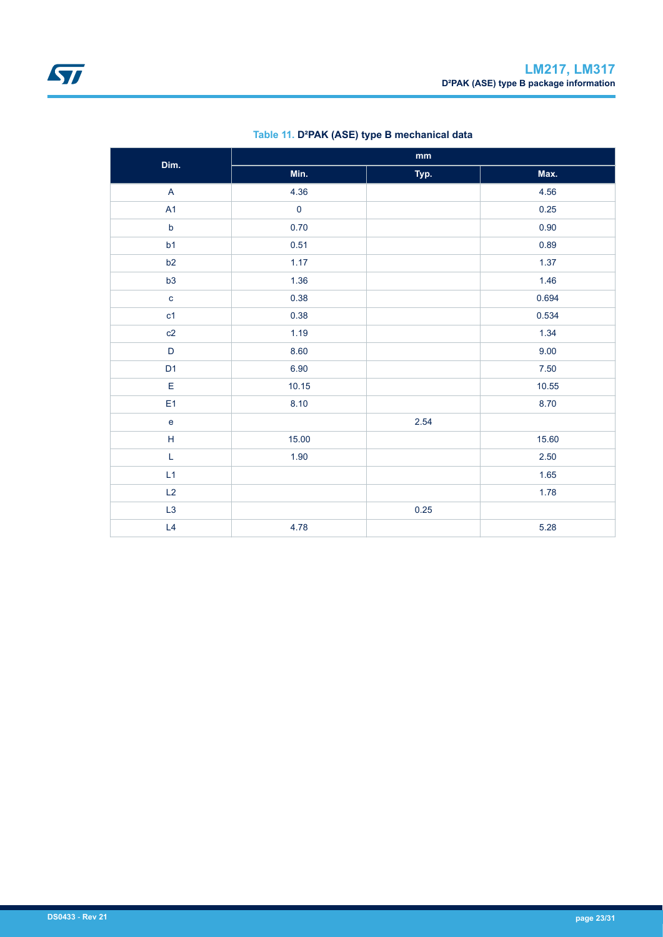<span id="page-22-0"></span>

| Dim.                                       | $\mathbf{mm}$ |      |       |  |
|--------------------------------------------|---------------|------|-------|--|
|                                            | Min.          | Typ. | Max.  |  |
| $\mathsf{A}$                               | 4.36          |      | 4.56  |  |
| A1                                         | $\pmb{0}$     |      | 0.25  |  |
| $\mathsf b$                                | 0.70          |      | 0.90  |  |
| b1                                         | 0.51          |      | 0.89  |  |
| b2                                         | 1.17          |      | 1.37  |  |
| b3                                         | 1.36          |      | 1.46  |  |
| $\mathbf{C}$                               | 0.38          |      | 0.694 |  |
| c1                                         | 0.38          |      | 0.534 |  |
| c2                                         | 1.19          |      | 1.34  |  |
| $\mathsf D$                                | 8.60          |      | 9.00  |  |
| D <sub>1</sub>                             | 6.90          |      | 7.50  |  |
| $\mathsf E$                                | 10.15         |      | 10.55 |  |
| E <sub>1</sub>                             | 8.10          |      | 8.70  |  |
| $\mathsf{e}% _{0}\left( \mathsf{e}\right)$ |               | 2.54 |       |  |
| $\mathsf H$                                | 15.00         |      | 15.60 |  |
| L                                          | 1.90          |      | 2.50  |  |
| L1                                         |               |      | 1.65  |  |
| L2                                         |               |      | 1.78  |  |
| L3                                         |               | 0.25 |       |  |
| L4                                         | 4.78          |      | 5.28  |  |

### **Table 11. D²PAK (ASE) type B mechanical data**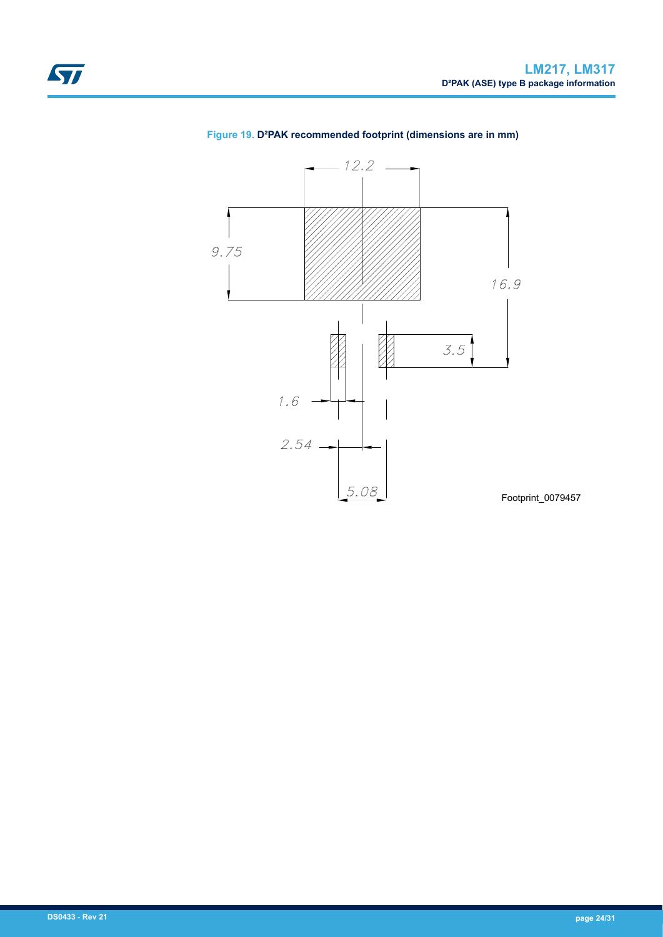

### **Figure 19. D²PAK recommended footprint (dimensions are in mm)**

**DS0433** - **Rev 21 page 24/31**

<span id="page-23-0"></span>ST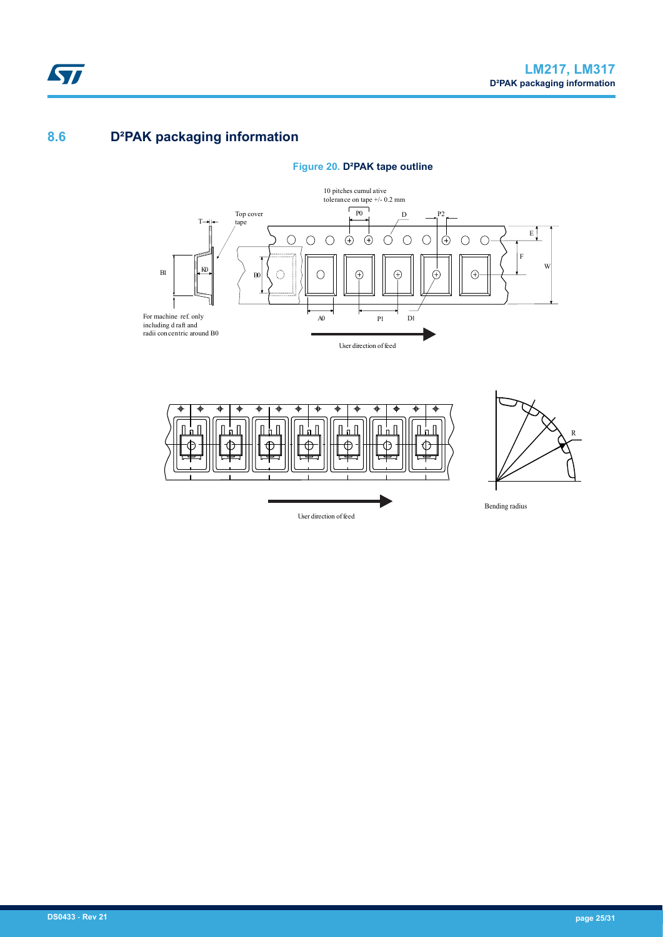## <span id="page-24-0"></span>**8.6 D²PAK packaging information**



## **Figure 20. D²PAK tape outline**





Bending radius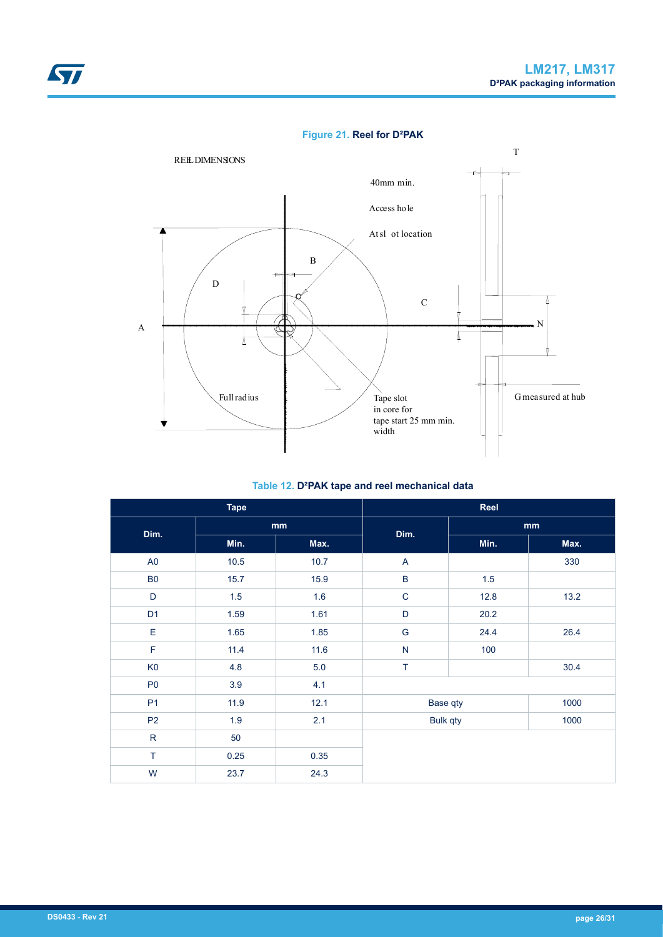### **Figure 21. Reel for D²PAK**

<span id="page-25-0"></span>

#### **Table 12. D²PAK tape and reel mechanical data**

| <b>Tape</b>    |      | Reel |                           |      |      |  |
|----------------|------|------|---------------------------|------|------|--|
| Dim.           | mm   |      | Dim.                      | mm   |      |  |
|                | Min. | Max. |                           | Min. | Max. |  |
| A <sub>0</sub> | 10.5 | 10.7 | $\boldsymbol{\mathsf{A}}$ |      | 330  |  |
| B <sub>0</sub> | 15.7 | 15.9 | $\sf B$                   | 1.5  |      |  |
| D              | 1.5  | 1.6  | $\mathsf C$               | 12.8 | 13.2 |  |
| D <sub>1</sub> | 1.59 | 1.61 | $\mathsf D$               | 20.2 |      |  |
| E              | 1.65 | 1.85 | ${\mathsf G}$             | 24.4 | 26.4 |  |
| $\mathsf F$    | 11.4 | 11.6 | $\overline{\mathsf{N}}$   | 100  |      |  |
| K <sub>0</sub> | 4.8  | 5.0  | $\top$                    |      | 30.4 |  |
| P <sub>0</sub> | 3.9  | 4.1  |                           |      |      |  |
| P <sub>1</sub> | 11.9 | 12.1 | Base qty                  |      | 1000 |  |
| P <sub>2</sub> | 1.9  | 2.1  | <b>Bulk qty</b>           |      | 1000 |  |
| ${\sf R}$      | 50   |      |                           |      |      |  |
| $\top$         | 0.25 | 0.35 |                           |      |      |  |
| W              | 23.7 | 24.3 |                           |      |      |  |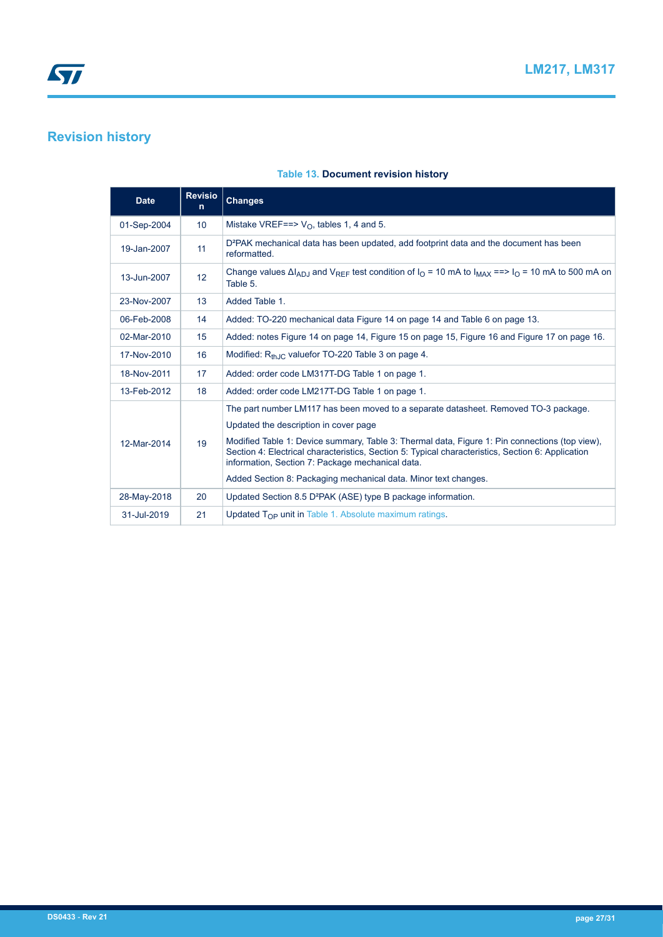## <span id="page-26-0"></span>**Revision history**

#### **Table 13. Document revision history**

| <b>Date</b> | <b>Revisio</b><br>n. | <b>Changes</b>                                                                                                                                                                                                                                                                                                                                                                          |
|-------------|----------------------|-----------------------------------------------------------------------------------------------------------------------------------------------------------------------------------------------------------------------------------------------------------------------------------------------------------------------------------------------------------------------------------------|
| 01-Sep-2004 | 10 <sup>1</sup>      | Mistake VREF==> $V_O$ , tables 1, 4 and 5.                                                                                                                                                                                                                                                                                                                                              |
| 19-Jan-2007 | 11                   | D <sup>2</sup> PAK mechanical data has been updated, add footprint data and the document has been<br>reformatted.                                                                                                                                                                                                                                                                       |
| 13-Jun-2007 | 12 <sup>2</sup>      | Change values $\Delta I_{AD,1}$ and $V_{RFF}$ test condition of $I_{O}$ = 10 mA to $I_{MAX}$ ==> $I_{O}$ = 10 mA to 500 mA on<br>Table 5.                                                                                                                                                                                                                                               |
| 23-Nov-2007 | 13                   | Added Table 1.                                                                                                                                                                                                                                                                                                                                                                          |
| 06-Feb-2008 | 14                   | Added: TO-220 mechanical data Figure 14 on page 14 and Table 6 on page 13.                                                                                                                                                                                                                                                                                                              |
| 02-Mar-2010 | 15                   | Added: notes Figure 14 on page 14, Figure 15 on page 15, Figure 16 and Figure 17 on page 16.                                                                                                                                                                                                                                                                                            |
| 17-Nov-2010 | 16                   | Modified: $R_{th,IC}$ valuefor TO-220 Table 3 on page 4.                                                                                                                                                                                                                                                                                                                                |
| 18-Nov-2011 | 17                   | Added: order code LM317T-DG Table 1 on page 1.                                                                                                                                                                                                                                                                                                                                          |
| 13-Feb-2012 | 18                   | Added: order code LM217T-DG Table 1 on page 1.                                                                                                                                                                                                                                                                                                                                          |
| 12-Mar-2014 | 19                   | The part number LM117 has been moved to a separate datasheet. Removed TO-3 package.<br>Updated the description in cover page<br>Modified Table 1: Device summary, Table 3: Thermal data, Figure 1: Pin connections (top view),<br>Section 4: Electrical characteristics, Section 5: Typical characteristics, Section 6: Application<br>information, Section 7: Package mechanical data. |
|             |                      | Added Section 8: Packaging mechanical data. Minor text changes.                                                                                                                                                                                                                                                                                                                         |
| 28-May-2018 | 20                   | Updated Section 8.5 D <sup>2</sup> PAK (ASE) type B package information.                                                                                                                                                                                                                                                                                                                |
| 31-Jul-2019 | 21                   | Updated $T_{OP}$ unit in Table 1. Absolute maximum ratings.                                                                                                                                                                                                                                                                                                                             |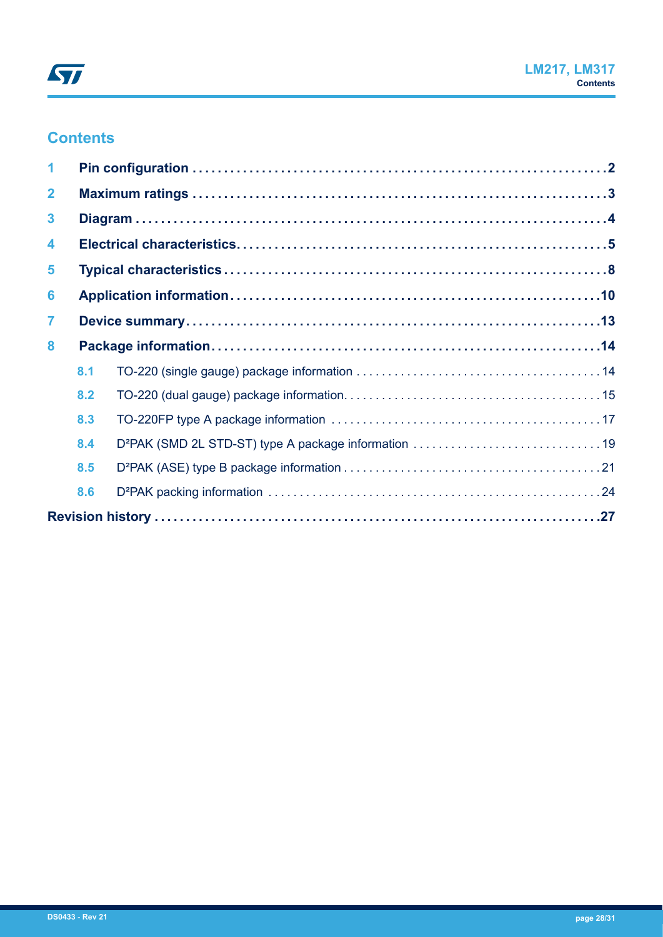## **Contents**

| $\mathbf{2}$            |     |  |  |
|-------------------------|-----|--|--|
| $\mathbf{3}$            |     |  |  |
| $\overline{\mathbf{4}}$ |     |  |  |
| 5                       |     |  |  |
| 6                       |     |  |  |
| $\overline{7}$          |     |  |  |
| 8                       |     |  |  |
|                         | 8.1 |  |  |
|                         | 8.2 |  |  |
|                         | 8.3 |  |  |
|                         | 8.4 |  |  |
|                         | 8.5 |  |  |
|                         | 8.6 |  |  |
|                         |     |  |  |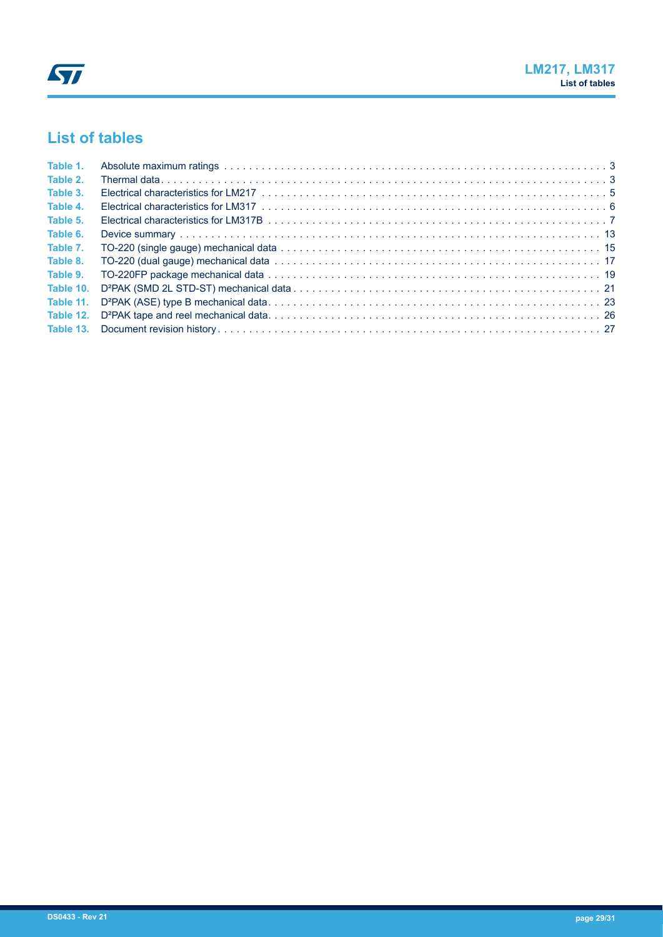# **List of tables**

| Table 1. |  |
|----------|--|
| Table 2. |  |
| Table 3. |  |
| Table 4. |  |
| Table 5. |  |
| Table 6. |  |
| Table 7. |  |
| Table 8. |  |
| Table 9. |  |
|          |  |
|          |  |
|          |  |
|          |  |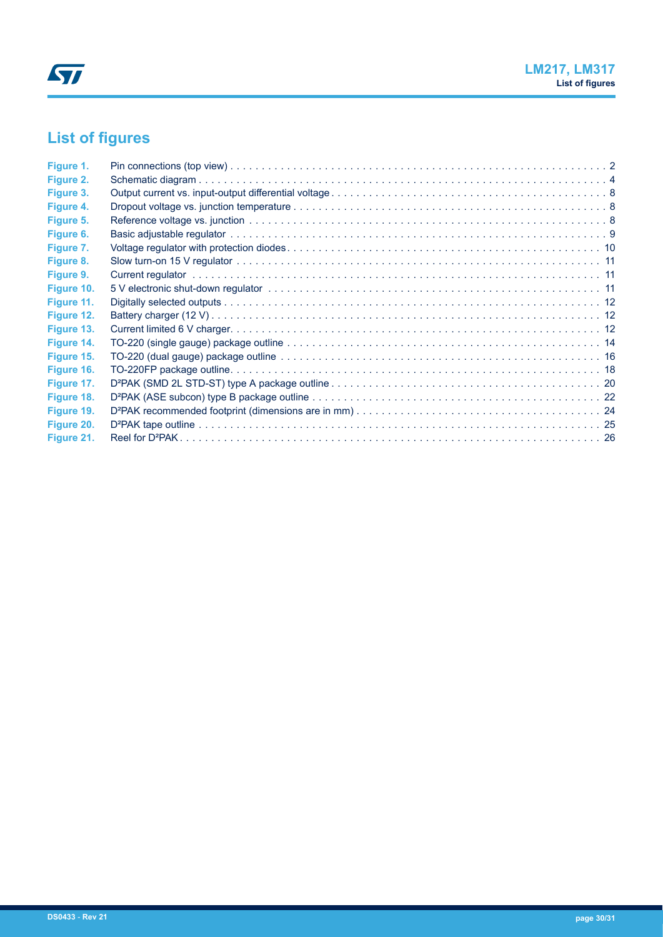# **List of figures**

| Figure 1.  |  |
|------------|--|
| Figure 2.  |  |
| Figure 3.  |  |
| Figure 4.  |  |
| Figure 5.  |  |
| Figure 6.  |  |
| Figure 7.  |  |
| Figure 8.  |  |
| Figure 9.  |  |
| Figure 10. |  |
| Figure 11. |  |
| Figure 12. |  |
| Figure 13. |  |
| Figure 14. |  |
| Figure 15. |  |
| Figure 16. |  |
| Figure 17. |  |
| Figure 18. |  |
| Figure 19. |  |
| Figure 20. |  |
| Figure 21. |  |